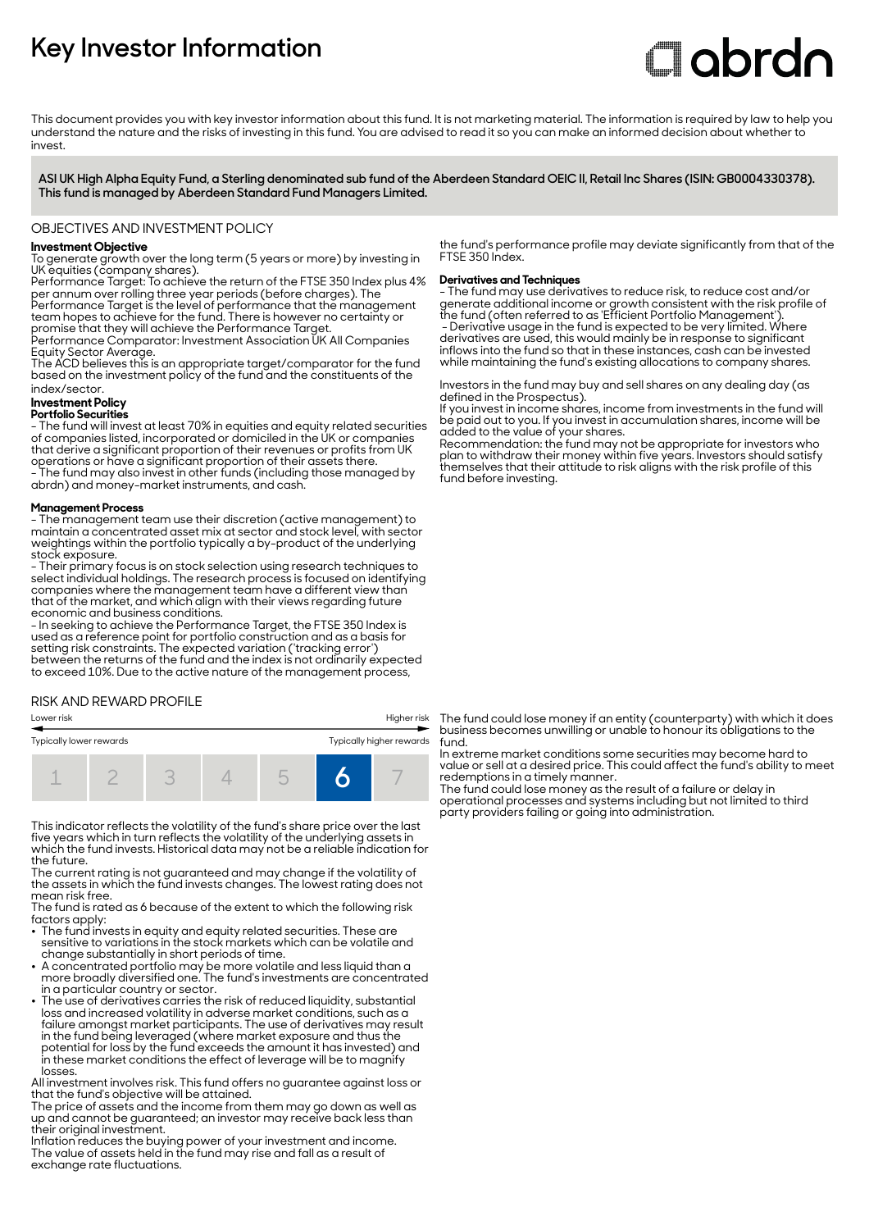# **Key Investor Information**

# **C**obrdo

This document provides you with key investor information about this fund. It is not marketing material. The information is required by law to help you understand the nature and the risks of investing in this fund. You are advised to read it so you can make an informed decision about whether to invest

**ASI UK High Alpha Equity Fund, a Sterling denominated sub fund of the Aberdeen Standard OEIC II, Retail Inc Shares (ISIN: GB0004330378). This fund is managed by Aberdeen Standard Fund Managers Limited.**

# OBJECTIVES AND INVESTMENT POLICY

### **Investment Objective**

To generate growth over the long term (5 years or more) by investing in UK equities (company shares).

Performance Target: To achieve the return of the FTSE 350 Index plus 4% per annum over rolling three year periods (before charges). The Performance Target is the level of performance that the management

team hopes to achieve for the fund. There is however no certainty or promise that they will achieve the Performance Target. Performance Comparator: Investment Association UK All Companies

Equity Sector Average.

The ACD believes this is an appropriate target/comparator for the fund based on the investment policy of the fund and the constituents of the index/sector.

# **Investment Policy**

#### **Portfolio Securities**

- The fund will invest at least 70% in equities and equity related securities of companies listed, incorporated or domiciled in the UK or companies that derive a significant proportion of their revenues or profits from UK operations or have a significant proportion of their assets there. - The fund may also invest in other funds (including those managed by abrdn) and money-market instruments, and cash.

#### **Management Process**

- The management team use their discretion (active management) to maintain a concentrated asset mix at sector and stock level, with sector weightings within the portfolio typically a by-product of the underlying stock exposure.

- Their primary focus is on stock selection using research techniques to select individual holdings. The research process is focused on identifying companies where the management team have a different view than that of the market, and which align with their views regarding future economic and business conditions.

- In seeking to achieve the Performance Target, the FTSE 350 Index is used as a reference point for portfolio construction and as a basis for setting risk constraints. The expected variation ('tracking error') between the returns of the fund and the index is not ordinarily expected to exceed 10%. Due to the active nature of the management process,

# RISK AND REWARD PROFILE



This indicator reflects the volatility of the fund's share price over the last five years which in turn reflects the volatility of the underlying assets in which the fund invests. Historical data may not be a reliable indication for the future.

The current rating is not guaranteed and may change if the volatility of the assets in which the fund invests changes. The lowest rating does not mean risk free.

The fund is rated as 6 because of the extent to which the following risk factors apply:

- The fund invests in equity and equity related securities. These are sensitive to variations in the stock markets which can be volatile and change substantially in short periods of time.
- A concentrated portfolio may be more volatile and less liquid than a more broadly diversified one. The fund's investments are concentrated in a particular country or sector.
- The use of derivatives carries the risk of reduced liquidity, substantial loss and increased volatility in adverse market conditions, such as a failure amongst market participants. The use of derivatives may result in the fund being leveraged (where market exposure and thus the potential for loss by the fund exceeds the amount it has invested) and in these market conditions the effect of leverage will be to magnify losses.

All investment involves risk. This fund offers no guarantee against loss or that the fund's objective will be attained.

The price of assets and the income from them may go down as well as up and cannot be guaranteed; an investor may receive back less than their original investment.

Inflation reduces the buying power of your investment and income. The value of assets held in the fund may rise and fall as a result of exchange rate fluctuations.

the fund's performance profile may deviate significantly from that of the FTSE 350 Index.

#### **Derivatives and Techniques**

- The fund may use derivatives to reduce risk, to reduce cost and/or generate additional income or growth consistent with the risk profile of the fund (often referred to as 'Efficient Portfolio Management'). - Derivative usage in the fund is expected to be very limited. Where derivatives are used, this would mainly be in response to significant inflows into the fund so that in these instances, cash can be invested while maintaining the fund's existing allocations to company shares.

Investors in the fund may buy and sell shares on any dealing day (as defined in the Prospectus).

If you invest in income shares, income from investments in the fund will be paid out to you. If you invest in accumulation shares, income will be added to the value of your shares.

Recommendation: the fund may not be appropriate for investors who plan to withdraw their money within five years. Investors should satisfy themselves that their attitude to risk aligns with the risk profile of this fund before investing.

The fund could lose money if an entity (counterparty) with which it does business becomes unwilling or unable to honour its obligations to the fund.

In extreme market conditions some securities may become hard to value or sell at a desired price. This could affect the fund's ability to meet redemptions in a timely manner.

The fund could lose money as the result of a failure or delay in operational processes and systems including but not limited to third party providers failing or going into administration.